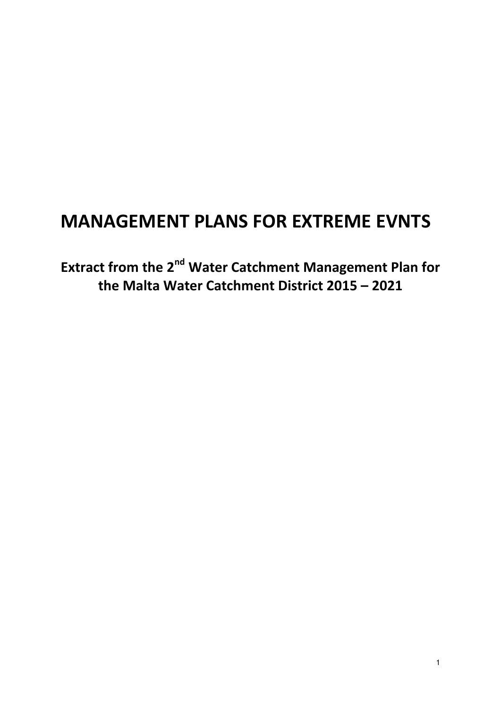# **MANAGEMENT PLANS FOR EXTREME EVNTS**

**Extract from the 2nd Water Catchment Management Plan for the Malta Water Catchment District 2015 – 2021**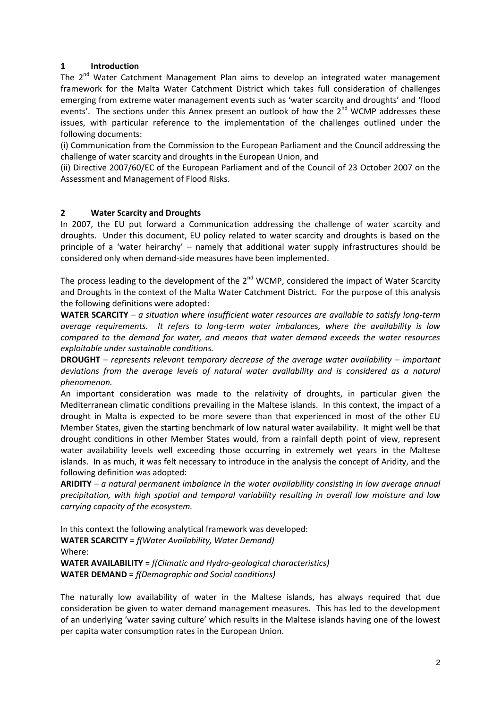# **1 Introduction**

The  $2^{nd}$  Water Catchment Management Plan aims to develop an integrated water management framework for the Malta Water Catchment District which takes full consideration of challenges emerging from extreme water management events such as 'water scarcity and droughts' and 'flood events'. The sections under this Annex present an outlook of how the  $2^{nd}$  WCMP addresses these issues, with particular reference to the implementation of the challenges outlined under the following documents:

(i) Communication from the Commission to the European Parliament and the Council addressing the challenge of water scarcity and droughts in the European Union, and

(ii) Directive 2007/60/EC of the European Parliament and of the Council of 23 October 2007 on the Assessment and Management of Flood Risks.

# **2 Water Scarcity and Droughts**

In 2007, the EU put forward a Communication addressing the challenge of water scarcity and droughts. Under this document, EU policy related to water scarcity and droughts is based on the principle of a 'water heirarchy' – namely that additional water supply infrastructures should be considered only when demand-side measures have been implemented.

The process leading to the development of the  $2^{nd}$  WCMP, considered the impact of Water Scarcity and Droughts in the context of the Malta Water Catchment District. For the purpose of this analysis the following definitions were adopted:

**WATER SCARCITY** – *a situation where insufficient water resources are available to satisfy long-term average requirements. It refers to long-term water imbalances, where the availability is low compared to the demand for water, and means that water demand exceeds the water resources exploitable under sustainable conditions.* 

**DROUGHT** – *represents relevant temporary decrease of the average water availability – important deviations from the average levels of natural water availability and is considered as a natural phenomenon.*

An important consideration was made to the relativity of droughts, in particular given the Mediterranean climatic conditions prevailing in the Maltese islands. In this context, the impact of a drought in Malta is expected to be more severe than that experienced in most of the other EU Member States, given the starting benchmark of low natural water availability. It might well be that drought conditions in other Member States would, from a rainfall depth point of view, represent water availability levels well exceeding those occurring in extremely wet years in the Maltese islands. In as much, it was felt necessary to introduce in the analysis the concept of Aridity, and the following definition was adopted:

**ARIDITY** – *a natural permanent imbalance in the water availability consisting in low average annual precipitation, with high spatial and temporal variability resulting in overall low moisture and low carrying capacity of the ecosystem.* 

In this context the following analytical framework was developed: **WATER SCARCITY** = *f(Water Availability, Water Demand)* Where: **WATER AVAILABILITY** = *f(Climatic and Hydro-geological characteristics)*  **WATER DEMAND** = *f(Demographic and Social conditions)*

The naturally low availability of water in the Maltese islands, has always required that due consideration be given to water demand management measures. This has led to the development of an underlying 'water saving culture' which results in the Maltese islands having one of the lowest per capita water consumption rates in the European Union.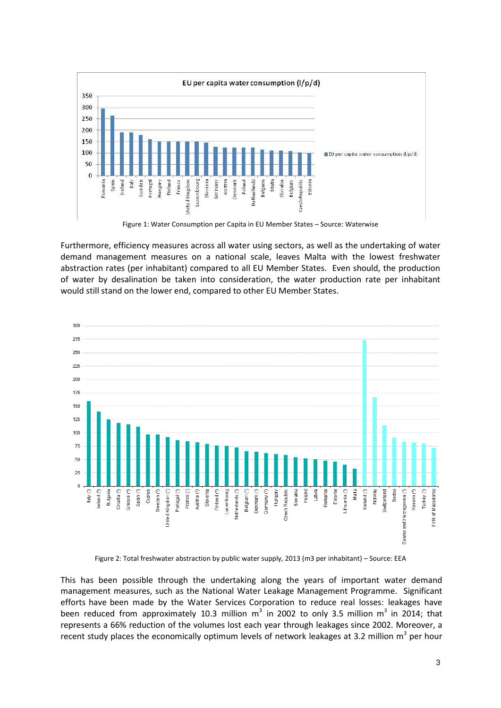

Figure 1: Water Consumption per Capita in EU Member States – Source: Waterwise

Furthermore, efficiency measures across all water using sectors, as well as the undertaking of water demand management measures on a national scale, leaves Malta with the lowest freshwater abstraction rates (per inhabitant) compared to all EU Member States. Even should, the production of water by desalination be taken into consideration, the water production rate per inhabitant would still stand on the lower end, compared to other EU Member States.



Figure 2: Total freshwater abstraction by public water supply, 2013 (m3 per inhabitant) – Source: EEA

This has been possible through the undertaking along the years of important water demand management measures, such as the National Water Leakage Management Programme. Significant efforts have been made by the Water Services Corporation to reduce real losses: leakages have been reduced from approximately 10.3 million  $m^3$  in 2002 to only 3.5 million  $m^3$  in 2014; that represents a 66% reduction of the volumes lost each year through leakages since 2002. Moreover, a recent study places the economically optimum levels of network leakages at 3.2 million  $m^3$  per hour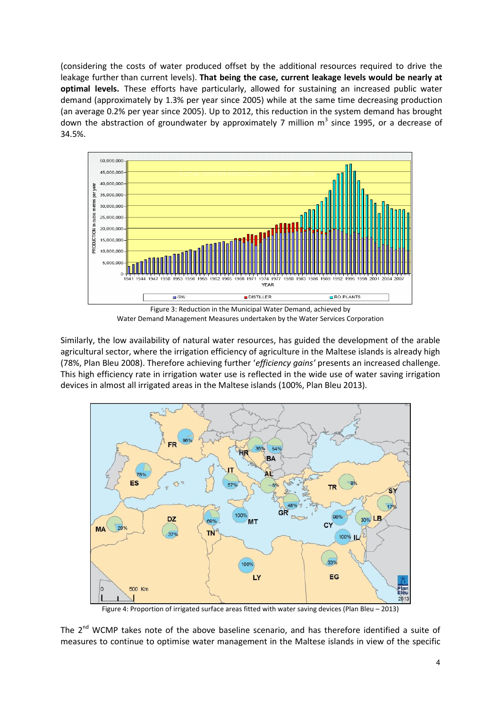(considering the costs of water produced offset by the additional resources required to drive the leakage further than current levels). **That being the case, current leakage levels would be nearly at optimal levels.** These efforts have particularly, allowed for sustaining an increased public water demand (approximately by 1.3% per year since 2005) while at the same time decreasing production (an average 0.2% per year since 2005). Up to 2012, this reduction in the system demand has brought down the abstraction of groundwater by approximately 7 million  $m^3$  since 1995, or a decrease of 34.5%.



Figure 3: Reduction in the Municipal Water Demand, achieved by Water Demand Management Measures undertaken by the Water Services Corporation

Similarly, the low availability of natural water resources, has guided the development of the arable agricultural sector, where the irrigation efficiency of agriculture in the Maltese islands is already high (78%, Plan Bleu 2008). Therefore achieving further '*efficiency gains'* presents an increased challenge. This high efficiency rate in irrigation water use is reflected in the wide use of water saving irrigation devices in almost all irrigated areas in the Maltese islands (100%, Plan Bleu 2013).



Figure 4: Proportion of irrigated surface areas fitted with water saving devices (Plan Bleu – 2013)

The  $2^{nd}$  WCMP takes note of the above baseline scenario, and has therefore identified a suite of measures to continue to optimise water management in the Maltese islands in view of the specific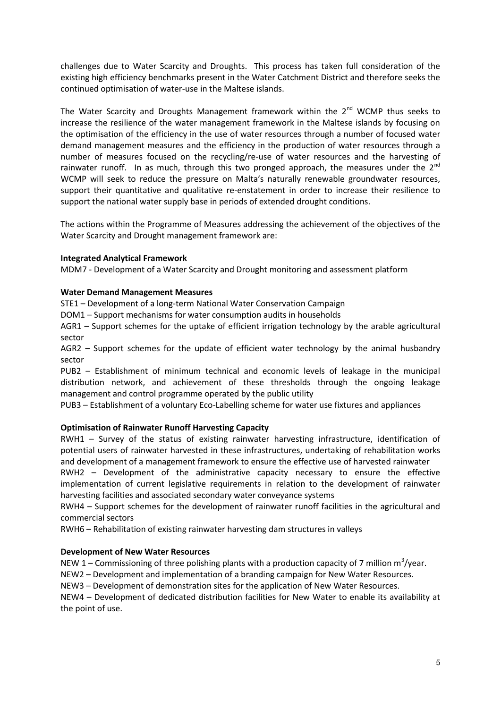challenges due to Water Scarcity and Droughts. This process has taken full consideration of the existing high efficiency benchmarks present in the Water Catchment District and therefore seeks the continued optimisation of water-use in the Maltese islands.

The Water Scarcity and Droughts Management framework within the 2<sup>nd</sup> WCMP thus seeks to increase the resilience of the water management framework in the Maltese islands by focusing on the optimisation of the efficiency in the use of water resources through a number of focused water demand management measures and the efficiency in the production of water resources through a number of measures focused on the recycling/re-use of water resources and the harvesting of rainwater runoff. In as much, through this two pronged approach, the measures under the  $2^{nd}$ WCMP will seek to reduce the pressure on Malta's naturally renewable groundwater resources, support their quantitative and qualitative re-enstatement in order to increase their resilience to support the national water supply base in periods of extended drought conditions.

The actions within the Programme of Measures addressing the achievement of the objectives of the Water Scarcity and Drought management framework are:

# **Integrated Analytical Framework**

MDM7 - Development of a Water Scarcity and Drought monitoring and assessment platform

#### **Water Demand Management Measures**

STE1 – Development of a long-term National Water Conservation Campaign

DOM1 – Support mechanisms for water consumption audits in households

AGR1 – Support schemes for the uptake of efficient irrigation technology by the arable agricultural sector

AGR2 – Support schemes for the update of efficient water technology by the animal husbandry sector

PUB2 – Establishment of minimum technical and economic levels of leakage in the municipal distribution network, and achievement of these thresholds through the ongoing leakage management and control programme operated by the public utility

PUB3 – Establishment of a voluntary Eco-Labelling scheme for water use fixtures and appliances

# **Optimisation of Rainwater Runoff Harvesting Capacity**

RWH1 – Survey of the status of existing rainwater harvesting infrastructure, identification of potential users of rainwater harvested in these infrastructures, undertaking of rehabilitation works and development of a management framework to ensure the effective use of harvested rainwater

RWH2 – Development of the administrative capacity necessary to ensure the effective implementation of current legislative requirements in relation to the development of rainwater harvesting facilities and associated secondary water conveyance systems

RWH4 – Support schemes for the development of rainwater runoff facilities in the agricultural and commercial sectors

RWH6 – Rehabilitation of existing rainwater harvesting dam structures in valleys

# **Development of New Water Resources**

NEW 1 – Commissioning of three polishing plants with a production capacity of 7 million  $m^3$ /year.

NEW2 – Development and implementation of a branding campaign for New Water Resources.

NEW3 – Development of demonstration sites for the application of New Water Resources.

NEW4 – Development of dedicated distribution facilities for New Water to enable its availability at the point of use.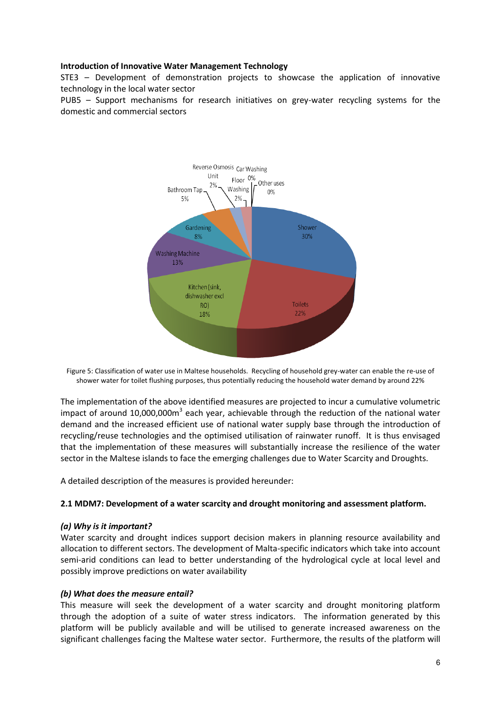# **Introduction of Innovative Water Management Technology**

STE3 – Development of demonstration projects to showcase the application of innovative technology in the local water sector

PUB5 – Support mechanisms for research initiatives on grey-water recycling systems for the domestic and commercial sectors



Figure 5: Classification of water use in Maltese households. Recycling of household grey-water can enable the re-use of shower water for toilet flushing purposes, thus potentially reducing the household water demand by around 22%

The implementation of the above identified measures are projected to incur a cumulative volumetric impact of around 10,000,000m<sup>3</sup> each year, achievable through the reduction of the national water demand and the increased efficient use of national water supply base through the introduction of recycling/reuse technologies and the optimised utilisation of rainwater runoff. It is thus envisaged that the implementation of these measures will substantially increase the resilience of the water sector in the Maltese islands to face the emerging challenges due to Water Scarcity and Droughts.

A detailed description of the measures is provided hereunder:

#### **2.1 MDM7: Development of a water scarcity and drought monitoring and assessment platform.**

#### *(a) Why is it important?*

Water scarcity and drought indices support decision makers in planning resource availability and allocation to different sectors. The development of Malta-specific indicators which take into account semi-arid conditions can lead to better understanding of the hydrological cycle at local level and possibly improve predictions on water availability

#### *(b) What does the measure entail?*

This measure will seek the development of a water scarcity and drought monitoring platform through the adoption of a suite of water stress indicators. The information generated by this platform will be publicly available and will be utilised to generate increased awareness on the significant challenges facing the Maltese water sector. Furthermore, the results of the platform will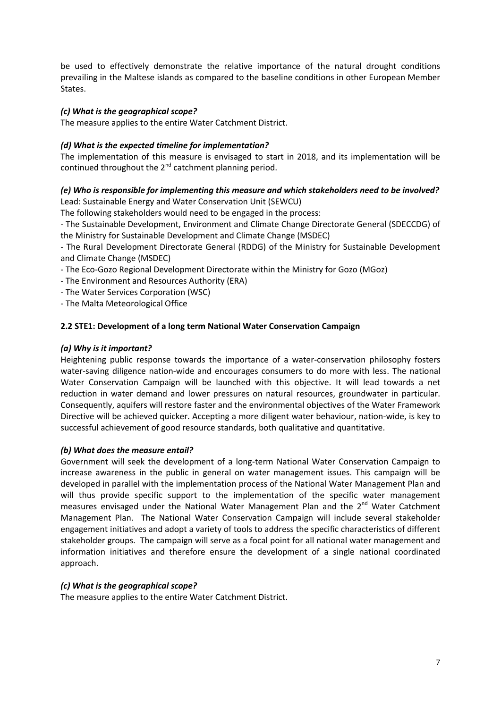be used to effectively demonstrate the relative importance of the natural drought conditions prevailing in the Maltese islands as compared to the baseline conditions in other European Member States.

# *(c) What is the geographical scope?*

The measure applies to the entire Water Catchment District.

# *(d) What is the expected timeline for implementation?*

The implementation of this measure is envisaged to start in 2018, and its implementation will be continued throughout the  $2^{nd}$  catchment planning period.

#### *(e) Who is responsible for implementing this measure and which stakeholders need to be involved?*  Lead: Sustainable Energy and Water Conservation Unit (SEWCU)

The following stakeholders would need to be engaged in the process:

- The Sustainable Development, Environment and Climate Change Directorate General (SDECCDG) of the Ministry for Sustainable Development and Climate Change (MSDEC)

- The Rural Development Directorate General (RDDG) of the Ministry for Sustainable Development and Climate Change (MSDEC)

- The Eco-Gozo Regional Development Directorate within the Ministry for Gozo (MGoz)
- The Environment and Resources Authority (ERA)
- The Water Services Corporation (WSC)
- The Malta Meteorological Office

# **2.2 STE1: Development of a long term National Water Conservation Campaign**

#### *(a) Why is it important?*

Heightening public response towards the importance of a water-conservation philosophy fosters water-saving diligence nation-wide and encourages consumers to do more with less. The national Water Conservation Campaign will be launched with this objective. It will lead towards a net reduction in water demand and lower pressures on natural resources, groundwater in particular. Consequently, aquifers will restore faster and the environmental objectives of the Water Framework Directive will be achieved quicker. Accepting a more diligent water behaviour, nation-wide, is key to successful achievement of good resource standards, both qualitative and quantitative.

#### *(b) What does the measure entail?*

Government will seek the development of a long-term National Water Conservation Campaign to increase awareness in the public in general on water management issues. This campaign will be developed in parallel with the implementation process of the National Water Management Plan and will thus provide specific support to the implementation of the specific water management measures envisaged under the National Water Management Plan and the  $2^{nd}$  Water Catchment Management Plan. The National Water Conservation Campaign will include several stakeholder engagement initiatives and adopt a variety of tools to address the specific characteristics of different stakeholder groups. The campaign will serve as a focal point for all national water management and information initiatives and therefore ensure the development of a single national coordinated approach.

#### *(c) What is the geographical scope?*

The measure applies to the entire Water Catchment District.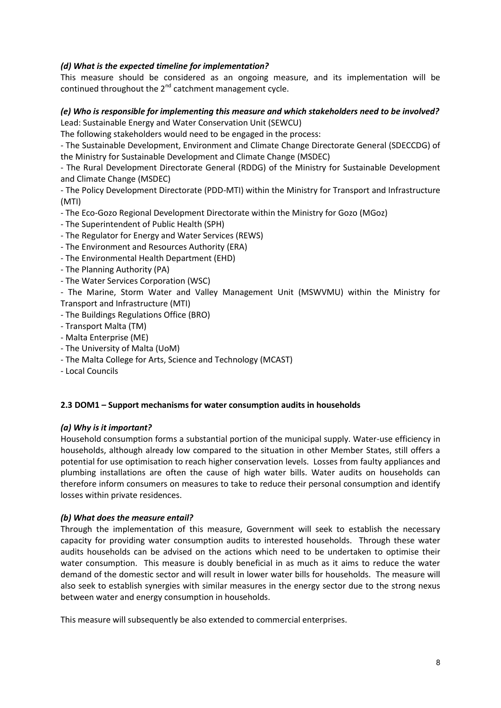# *(d) What is the expected timeline for implementation?*

This measure should be considered as an ongoing measure, and its implementation will be continued throughout the  $2^{nd}$  catchment management cycle.

# *(e) Who is responsible for implementing this measure and which stakeholders need to be involved?*  Lead: Sustainable Energy and Water Conservation Unit (SEWCU)

The following stakeholders would need to be engaged in the process:

- The Sustainable Development, Environment and Climate Change Directorate General (SDECCDG) of the Ministry for Sustainable Development and Climate Change (MSDEC)

- The Rural Development Directorate General (RDDG) of the Ministry for Sustainable Development and Climate Change (MSDEC)

- The Policy Development Directorate (PDD-MTI) within the Ministry for Transport and Infrastructure (MTI)

- The Eco-Gozo Regional Development Directorate within the Ministry for Gozo (MGoz)

- The Superintendent of Public Health (SPH)
- The Regulator for Energy and Water Services (REWS)
- The Environment and Resources Authority (ERA)
- The Environmental Health Department (EHD)
- The Planning Authority (PA)
- The Water Services Corporation (WSC)

- The Marine, Storm Water and Valley Management Unit (MSWVMU) within the Ministry for Transport and Infrastructure (MTI)

- The Buildings Regulations Office (BRO)
- Transport Malta (TM)
- Malta Enterprise (ME)
- The University of Malta (UoM)
- The Malta College for Arts, Science and Technology (MCAST)
- Local Councils

#### **2.3 DOM1 – Support mechanisms for water consumption audits in households**

#### *(a) Why is it important?*

Household consumption forms a substantial portion of the municipal supply. Water-use efficiency in households, although already low compared to the situation in other Member States, still offers a potential for use optimisation to reach higher conservation levels. Losses from faulty appliances and plumbing installations are often the cause of high water bills. Water audits on households can therefore inform consumers on measures to take to reduce their personal consumption and identify losses within private residences.

#### *(b) What does the measure entail?*

Through the implementation of this measure, Government will seek to establish the necessary capacity for providing water consumption audits to interested households. Through these water audits households can be advised on the actions which need to be undertaken to optimise their water consumption. This measure is doubly beneficial in as much as it aims to reduce the water demand of the domestic sector and will result in lower water bills for households. The measure will also seek to establish synergies with similar measures in the energy sector due to the strong nexus between water and energy consumption in households.

This measure will subsequently be also extended to commercial enterprises.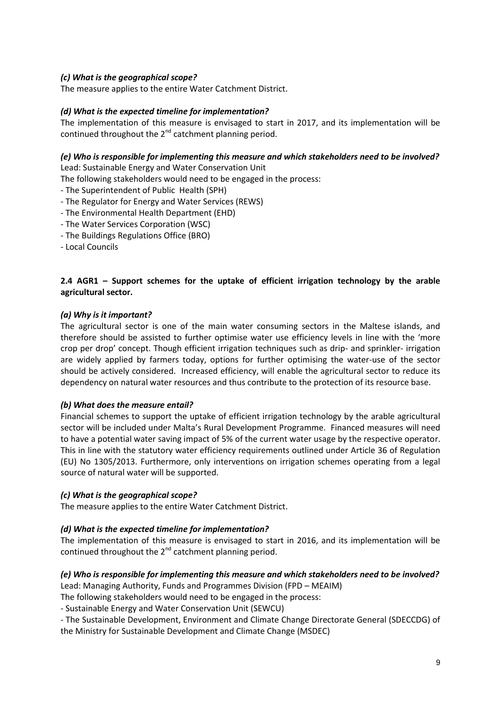# *(c) What is the geographical scope?*

The measure applies to the entire Water Catchment District.

#### *(d) What is the expected timeline for implementation?*

The implementation of this measure is envisaged to start in 2017, and its implementation will be continued throughout the  $2^{nd}$  catchment planning period.

#### *(e) Who is responsible for implementing this measure and which stakeholders need to be involved?*

Lead: Sustainable Energy and Water Conservation Unit

The following stakeholders would need to be engaged in the process:

- The Superintendent of Public Health (SPH)
- The Regulator for Energy and Water Services (REWS)
- The Environmental Health Department (EHD)
- The Water Services Corporation (WSC)
- The Buildings Regulations Office (BRO)
- Local Councils

# **2.4 AGR1 – Support schemes for the uptake of efficient irrigation technology by the arable agricultural sector.**

#### *(a) Why is it important?*

The agricultural sector is one of the main water consuming sectors in the Maltese islands, and therefore should be assisted to further optimise water use efficiency levels in line with the 'more crop per drop' concept. Though efficient irrigation techniques such as drip- and sprinkler- irrigation are widely applied by farmers today, options for further optimising the water-use of the sector should be actively considered. Increased efficiency, will enable the agricultural sector to reduce its dependency on natural water resources and thus contribute to the protection of its resource base.

#### *(b) What does the measure entail?*

Financial schemes to support the uptake of efficient irrigation technology by the arable agricultural sector will be included under Malta's Rural Development Programme. Financed measures will need to have a potential water saving impact of 5% of the current water usage by the respective operator. This in line with the statutory water efficiency requirements outlined under Article 36 of Regulation (EU) No 1305/2013. Furthermore, only interventions on irrigation schemes operating from a legal source of natural water will be supported.

#### *(c) What is the geographical scope?*

The measure applies to the entire Water Catchment District.

#### *(d) What is the expected timeline for implementation?*

The implementation of this measure is envisaged to start in 2016, and its implementation will be continued throughout the  $2^{nd}$  catchment planning period.

# *(e) Who is responsible for implementing this measure and which stakeholders need to be involved?*

Lead: Managing Authority, Funds and Programmes Division (FPD – MEAIM)

The following stakeholders would need to be engaged in the process:

- Sustainable Energy and Water Conservation Unit (SEWCU)

- The Sustainable Development, Environment and Climate Change Directorate General (SDECCDG) of the Ministry for Sustainable Development and Climate Change (MSDEC)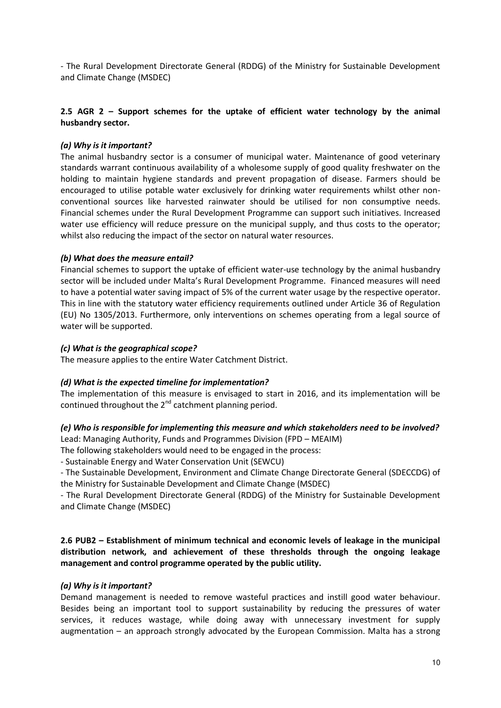- The Rural Development Directorate General (RDDG) of the Ministry for Sustainable Development and Climate Change (MSDEC)

# **2.5 AGR 2 – Support schemes for the uptake of efficient water technology by the animal husbandry sector.**

#### *(a) Why is it important?*

The animal husbandry sector is a consumer of municipal water. Maintenance of good veterinary standards warrant continuous availability of a wholesome supply of good quality freshwater on the holding to maintain hygiene standards and prevent propagation of disease. Farmers should be encouraged to utilise potable water exclusively for drinking water requirements whilst other nonconventional sources like harvested rainwater should be utilised for non consumptive needs. Financial schemes under the Rural Development Programme can support such initiatives. Increased water use efficiency will reduce pressure on the municipal supply, and thus costs to the operator; whilst also reducing the impact of the sector on natural water resources.

#### *(b) What does the measure entail?*

Financial schemes to support the uptake of efficient water-use technology by the animal husbandry sector will be included under Malta's Rural Development Programme. Financed measures will need to have a potential water saving impact of 5% of the current water usage by the respective operator. This in line with the statutory water efficiency requirements outlined under Article 36 of Regulation (EU) No 1305/2013. Furthermore, only interventions on schemes operating from a legal source of water will be supported.

#### *(c) What is the geographical scope?*

The measure applies to the entire Water Catchment District.

#### *(d) What is the expected timeline for implementation?*

The implementation of this measure is envisaged to start in 2016, and its implementation will be continued throughout the  $2^{nd}$  catchment planning period.

#### *(e) Who is responsible for implementing this measure and which stakeholders need to be involved?*  Lead: Managing Authority, Funds and Programmes Division (FPD – MEAIM)

The following stakeholders would need to be engaged in the process:

- Sustainable Energy and Water Conservation Unit (SEWCU)

- The Sustainable Development, Environment and Climate Change Directorate General (SDECCDG) of the Ministry for Sustainable Development and Climate Change (MSDEC)

- The Rural Development Directorate General (RDDG) of the Ministry for Sustainable Development and Climate Change (MSDEC)

**2.6 PUB2 – Establishment of minimum technical and economic levels of leakage in the municipal distribution network, and achievement of these thresholds through the ongoing leakage management and control programme operated by the public utility.** 

#### *(a) Why is it important?*

Demand management is needed to remove wasteful practices and instill good water behaviour. Besides being an important tool to support sustainability by reducing the pressures of water services, it reduces wastage, while doing away with unnecessary investment for supply augmentation – an approach strongly advocated by the European Commission. Malta has a strong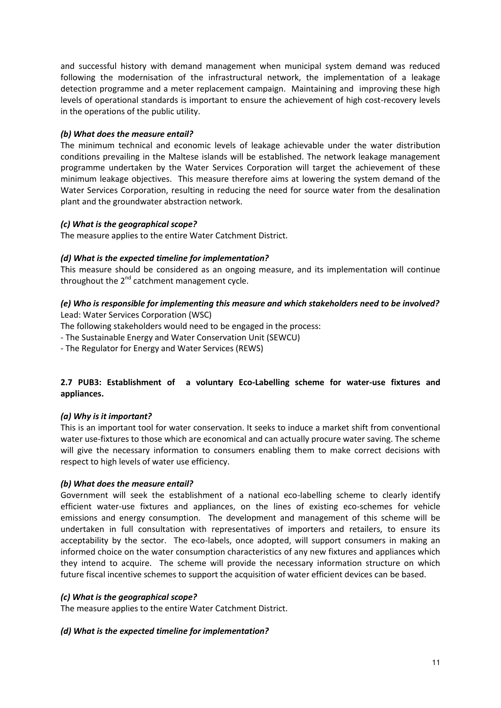and successful history with demand management when municipal system demand was reduced following the modernisation of the infrastructural network, the implementation of a leakage detection programme and a meter replacement campaign. Maintaining and improving these high levels of operational standards is important to ensure the achievement of high cost-recovery levels in the operations of the public utility.

# *(b) What does the measure entail?*

The minimum technical and economic levels of leakage achievable under the water distribution conditions prevailing in the Maltese islands will be established. The network leakage management programme undertaken by the Water Services Corporation will target the achievement of these minimum leakage objectives. This measure therefore aims at lowering the system demand of the Water Services Corporation, resulting in reducing the need for source water from the desalination plant and the groundwater abstraction network.

# *(c) What is the geographical scope?*

The measure applies to the entire Water Catchment District.

# *(d) What is the expected timeline for implementation?*

This measure should be considered as an ongoing measure, and its implementation will continue throughout the  $2^{nd}$  catchment management cycle.

# *(e) Who is responsible for implementing this measure and which stakeholders need to be involved?*  Lead: Water Services Corporation (WSC)

The following stakeholders would need to be engaged in the process:

- The Sustainable Energy and Water Conservation Unit (SEWCU)
- The Regulator for Energy and Water Services (REWS)

# **2.7 PUB3: Establishment of a voluntary Eco-Labelling scheme for water-use fixtures and appliances.**

# *(a) Why is it important?*

This is an important tool for water conservation. It seeks to induce a market shift from conventional water use-fixtures to those which are economical and can actually procure water saving. The scheme will give the necessary information to consumers enabling them to make correct decisions with respect to high levels of water use efficiency.

# *(b) What does the measure entail?*

Government will seek the establishment of a national eco-labelling scheme to clearly identify efficient water-use fixtures and appliances, on the lines of existing eco-schemes for vehicle emissions and energy consumption. The development and management of this scheme will be undertaken in full consultation with representatives of importers and retailers, to ensure its acceptability by the sector. The eco-labels, once adopted, will support consumers in making an informed choice on the water consumption characteristics of any new fixtures and appliances which they intend to acquire. The scheme will provide the necessary information structure on which future fiscal incentive schemes to support the acquisition of water efficient devices can be based.

# *(c) What is the geographical scope?*

The measure applies to the entire Water Catchment District.

#### *(d) What is the expected timeline for implementation?*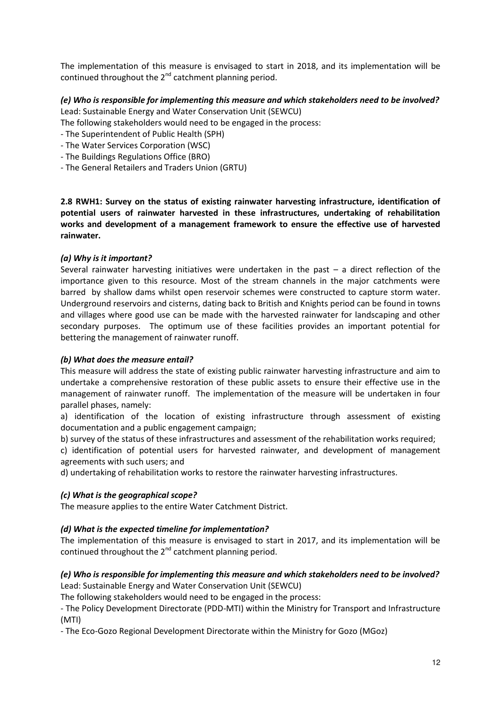The implementation of this measure is envisaged to start in 2018, and its implementation will be continued throughout the  $2^{nd}$  catchment planning period.

# *(e) Who is responsible for implementing this measure and which stakeholders need to be involved?*  Lead: Sustainable Energy and Water Conservation Unit (SEWCU)

The following stakeholders would need to be engaged in the process:

- The Superintendent of Public Health (SPH)
- The Water Services Corporation (WSC)
- The Buildings Regulations Office (BRO)
- The General Retailers and Traders Union (GRTU)

**2.8 RWH1: Survey on the status of existing rainwater harvesting infrastructure, identification of potential users of rainwater harvested in these infrastructures, undertaking of rehabilitation works and development of a management framework to ensure the effective use of harvested rainwater.** 

#### *(a) Why is it important?*

Several rainwater harvesting initiatives were undertaken in the past – a direct reflection of the importance given to this resource. Most of the stream channels in the major catchments were barred by shallow dams whilst open reservoir schemes were constructed to capture storm water. Underground reservoirs and cisterns, dating back to British and Knights period can be found in towns and villages where good use can be made with the harvested rainwater for landscaping and other secondary purposes. The optimum use of these facilities provides an important potential for bettering the management of rainwater runoff.

#### *(b) What does the measure entail?*

This measure will address the state of existing public rainwater harvesting infrastructure and aim to undertake a comprehensive restoration of these public assets to ensure their effective use in the management of rainwater runoff. The implementation of the measure will be undertaken in four parallel phases, namely:

a) identification of the location of existing infrastructure through assessment of existing documentation and a public engagement campaign;

b) survey of the status of these infrastructures and assessment of the rehabilitation works required;

c) identification of potential users for harvested rainwater, and development of management agreements with such users; and

d) undertaking of rehabilitation works to restore the rainwater harvesting infrastructures.

#### *(c) What is the geographical scope?*

The measure applies to the entire Water Catchment District.

#### *(d) What is the expected timeline for implementation?*

The implementation of this measure is envisaged to start in 2017, and its implementation will be continued throughout the  $2^{nd}$  catchment planning period.

# *(e) Who is responsible for implementing this measure and which stakeholders need to be involved?*  Lead: Sustainable Energy and Water Conservation Unit (SEWCU)

The following stakeholders would need to be engaged in the process:

- The Policy Development Directorate (PDD-MTI) within the Ministry for Transport and Infrastructure (MTI)

- The Eco-Gozo Regional Development Directorate within the Ministry for Gozo (MGoz)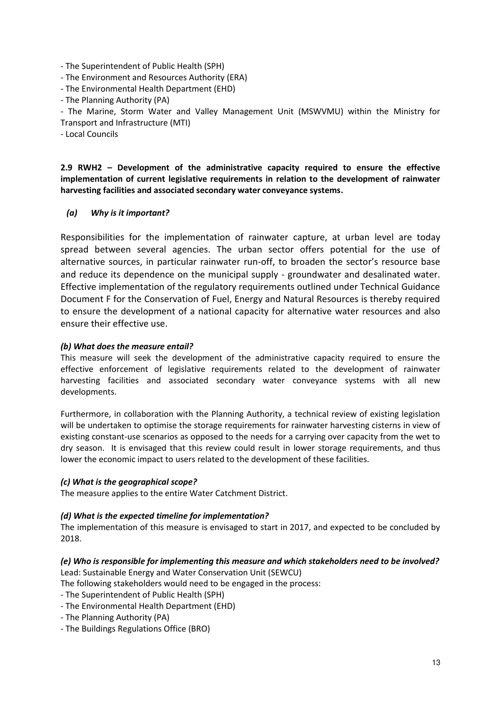- The Superintendent of Public Health (SPH)
- The Environment and Resources Authority (ERA)
- The Environmental Health Department (EHD)
- The Planning Authority (PA)

- The Marine, Storm Water and Valley Management Unit (MSWVMU) within the Ministry for Transport and Infrastructure (MTI)

- Local Councils

**2.9 RWH2 – Development of the administrative capacity required to ensure the effective implementation of current legislative requirements in relation to the development of rainwater harvesting facilities and associated secondary water conveyance systems.** 

# *(a) Why is it important?*

Responsibilities for the implementation of rainwater capture, at urban level are today spread between several agencies. The urban sector offers potential for the use of alternative sources, in particular rainwater run-off, to broaden the sector's resource base and reduce its dependence on the municipal supply - groundwater and desalinated water. Effective implementation of the regulatory requirements outlined under Technical Guidance Document F for the Conservation of Fuel, Energy and Natural Resources is thereby required to ensure the development of a national capacity for alternative water resources and also ensure their effective use.

# *(b) What does the measure entail?*

This measure will seek the development of the administrative capacity required to ensure the effective enforcement of legislative requirements related to the development of rainwater harvesting facilities and associated secondary water conveyance systems with all new developments.

Furthermore, in collaboration with the Planning Authority, a technical review of existing legislation will be undertaken to optimise the storage requirements for rainwater harvesting cisterns in view of existing constant-use scenarios as opposed to the needs for a carrying over capacity from the wet to dry season. It is envisaged that this review could result in lower storage requirements, and thus lower the economic impact to users related to the development of these facilities.

# *(c) What is the geographical scope?*

The measure applies to the entire Water Catchment District.

#### *(d) What is the expected timeline for implementation?*

The implementation of this measure is envisaged to start in 2017, and expected to be concluded by 2018.

# *(e) Who is responsible for implementing this measure and which stakeholders need to be involved?*

Lead: Sustainable Energy and Water Conservation Unit (SEWCU)

The following stakeholders would need to be engaged in the process:

- The Superintendent of Public Health (SPH)
- The Environmental Health Department (EHD)
- The Planning Authority (PA)
- The Buildings Regulations Office (BRO)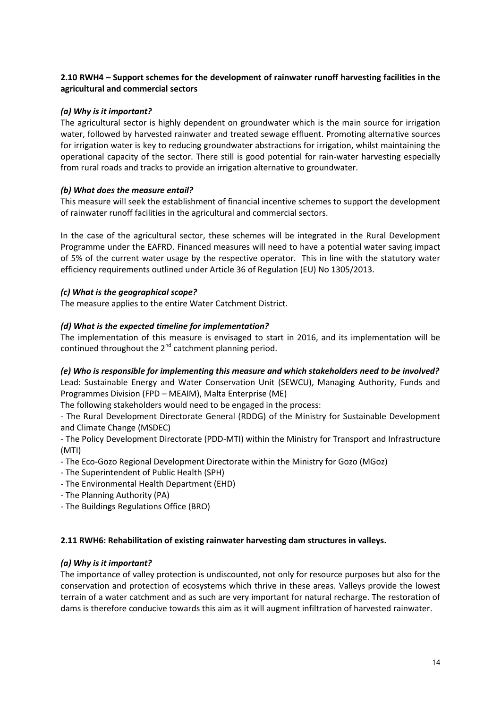# **2.10 RWH4 – Support schemes for the development of rainwater runoff harvesting facilities in the agricultural and commercial sectors**

# *(a) Why is it important?*

The agricultural sector is highly dependent on groundwater which is the main source for irrigation water, followed by harvested rainwater and treated sewage effluent. Promoting alternative sources for irrigation water is key to reducing groundwater abstractions for irrigation, whilst maintaining the operational capacity of the sector. There still is good potential for rain-water harvesting especially from rural roads and tracks to provide an irrigation alternative to groundwater.

# *(b) What does the measure entail?*

This measure will seek the establishment of financial incentive schemes to support the development of rainwater runoff facilities in the agricultural and commercial sectors.

In the case of the agricultural sector, these schemes will be integrated in the Rural Development Programme under the EAFRD. Financed measures will need to have a potential water saving impact of 5% of the current water usage by the respective operator. This in line with the statutory water efficiency requirements outlined under Article 36 of Regulation (EU) No 1305/2013.

# *(c) What is the geographical scope?*

The measure applies to the entire Water Catchment District.

# *(d) What is the expected timeline for implementation?*

The implementation of this measure is envisaged to start in 2016, and its implementation will be continued throughout the 2<sup>nd</sup> catchment planning period.

# *(e) Who is responsible for implementing this measure and which stakeholders need to be involved?*

Lead: Sustainable Energy and Water Conservation Unit (SEWCU), Managing Authority, Funds and Programmes Division (FPD – MEAIM), Malta Enterprise (ME)

The following stakeholders would need to be engaged in the process:

- The Rural Development Directorate General (RDDG) of the Ministry for Sustainable Development and Climate Change (MSDEC)

- The Policy Development Directorate (PDD-MTI) within the Ministry for Transport and Infrastructure (MTI)

- The Eco-Gozo Regional Development Directorate within the Ministry for Gozo (MGoz)
- The Superintendent of Public Health (SPH)
- The Environmental Health Department (EHD)
- The Planning Authority (PA)
- The Buildings Regulations Office (BRO)

#### **2.11 RWH6: Rehabilitation of existing rainwater harvesting dam structures in valleys.**

#### *(a) Why is it important?*

The importance of valley protection is undiscounted, not only for resource purposes but also for the conservation and protection of ecosystems which thrive in these areas. Valleys provide the lowest terrain of a water catchment and as such are very important for natural recharge. The restoration of dams is therefore conducive towards this aim as it will augment infiltration of harvested rainwater.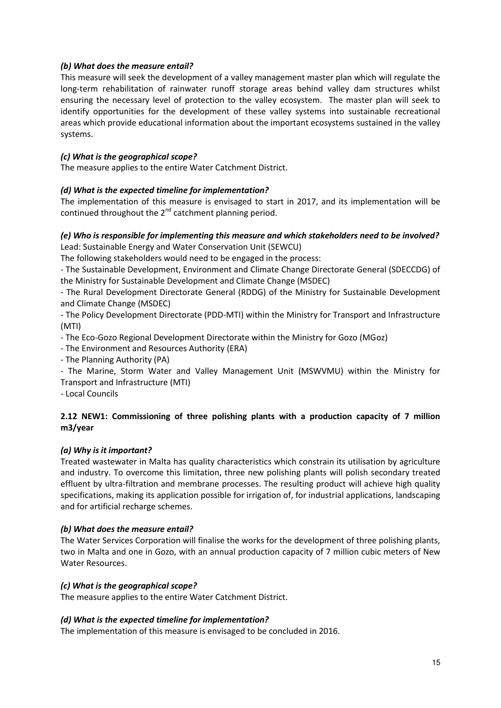# *(b) What does the measure entail?*

This measure will seek the development of a valley management master plan which will regulate the long-term rehabilitation of rainwater runoff storage areas behind valley dam structures whilst ensuring the necessary level of protection to the valley ecosystem. The master plan will seek to identify opportunities for the development of these valley systems into sustainable recreational areas which provide educational information about the important ecosystems sustained in the valley systems.

# *(c) What is the geographical scope?*

The measure applies to the entire Water Catchment District.

# *(d) What is the expected timeline for implementation?*

The implementation of this measure is envisaged to start in 2017, and its implementation will be continued throughout the  $2^{nd}$  catchment planning period.

# *(e) Who is responsible for implementing this measure and which stakeholders need to be involved?*  Lead: Sustainable Energy and Water Conservation Unit (SEWCU)

The following stakeholders would need to be engaged in the process:

- The Sustainable Development, Environment and Climate Change Directorate General (SDECCDG) of the Ministry for Sustainable Development and Climate Change (MSDEC)

- The Rural Development Directorate General (RDDG) of the Ministry for Sustainable Development and Climate Change (MSDEC)

- The Policy Development Directorate (PDD-MTI) within the Ministry for Transport and Infrastructure (MTI)

- The Eco-Gozo Regional Development Directorate within the Ministry for Gozo (MGoz)

- The Environment and Resources Authority (ERA)
- The Planning Authority (PA)

- The Marine, Storm Water and Valley Management Unit (MSWVMU) within the Ministry for Transport and Infrastructure (MTI)

- Local Councils

# **2.12 NEW1: Commissioning of three polishing plants with a production capacity of 7 million m3/year**

#### *(a) Why is it important?*

Treated wastewater in Malta has quality characteristics which constrain its utilisation by agriculture and industry. To overcome this limitation, three new polishing plants will polish secondary treated effluent by ultra-filtration and membrane processes. The resulting product will achieve high quality specifications, making its application possible for irrigation of, for industrial applications, landscaping and for artificial recharge schemes.

#### *(b) What does the measure entail?*

The Water Services Corporation will finalise the works for the development of three polishing plants, two in Malta and one in Gozo, with an annual production capacity of 7 million cubic meters of New Water Resources.

#### *(c) What is the geographical scope?*

The measure applies to the entire Water Catchment District.

#### *(d) What is the expected timeline for implementation?*

The implementation of this measure is envisaged to be concluded in 2016.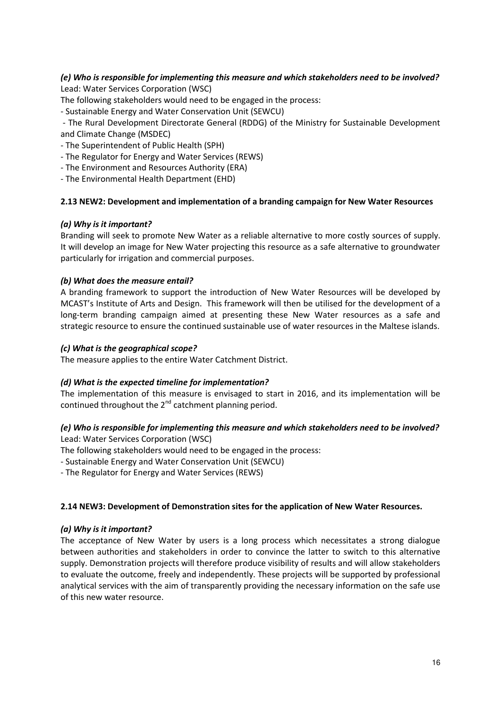# *(e) Who is responsible for implementing this measure and which stakeholders need to be involved?*  Lead: Water Services Corporation (WSC)

The following stakeholders would need to be engaged in the process:

- Sustainable Energy and Water Conservation Unit (SEWCU)

 - The Rural Development Directorate General (RDDG) of the Ministry for Sustainable Development and Climate Change (MSDEC)

- The Superintendent of Public Health (SPH)
- The Regulator for Energy and Water Services (REWS)
- The Environment and Resources Authority (ERA)
- The Environmental Health Department (EHD)

# **2.13 NEW2: Development and implementation of a branding campaign for New Water Resources**

# *(a) Why is it important?*

Branding will seek to promote New Water as a reliable alternative to more costly sources of supply. It will develop an image for New Water projecting this resource as a safe alternative to groundwater particularly for irrigation and commercial purposes.

# *(b) What does the measure entail?*

A branding framework to support the introduction of New Water Resources will be developed by MCAST's Institute of Arts and Design. This framework will then be utilised for the development of a long-term branding campaign aimed at presenting these New Water resources as a safe and strategic resource to ensure the continued sustainable use of water resources in the Maltese islands.

# *(c) What is the geographical scope?*

The measure applies to the entire Water Catchment District.

#### *(d) What is the expected timeline for implementation?*

The implementation of this measure is envisaged to start in 2016, and its implementation will be continued throughout the 2<sup>nd</sup> catchment planning period.

# *(e) Who is responsible for implementing this measure and which stakeholders need to be involved?*

Lead: Water Services Corporation (WSC)

The following stakeholders would need to be engaged in the process:

- Sustainable Energy and Water Conservation Unit (SEWCU)

- The Regulator for Energy and Water Services (REWS)

#### **2.14 NEW3: Development of Demonstration sites for the application of New Water Resources.**

#### *(a) Why is it important?*

The acceptance of New Water by users is a long process which necessitates a strong dialogue between authorities and stakeholders in order to convince the latter to switch to this alternative supply. Demonstration projects will therefore produce visibility of results and will allow stakeholders to evaluate the outcome, freely and independently. These projects will be supported by professional analytical services with the aim of transparently providing the necessary information on the safe use of this new water resource.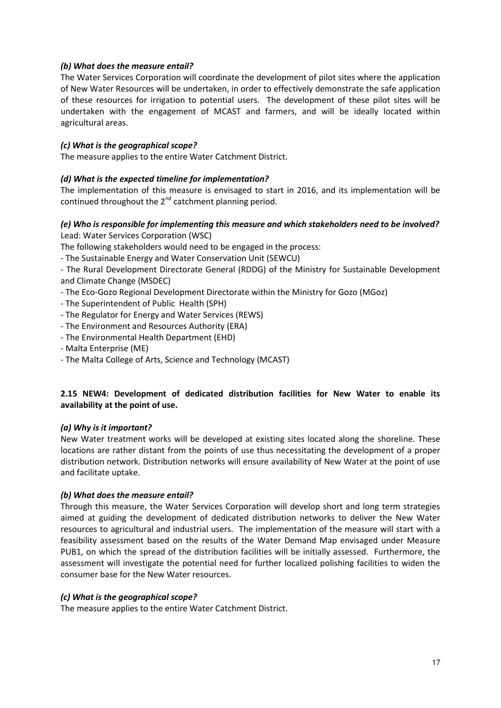# *(b) What does the measure entail?*

The Water Services Corporation will coordinate the development of pilot sites where the application of New Water Resources will be undertaken, in order to effectively demonstrate the safe application of these resources for irrigation to potential users. The development of these pilot sites will be undertaken with the engagement of MCAST and farmers, and will be ideally located within agricultural areas.

# *(c) What is the geographical scope?*

The measure applies to the entire Water Catchment District.

# *(d) What is the expected timeline for implementation?*

The implementation of this measure is envisaged to start in 2016, and its implementation will be continued throughout the  $2^{nd}$  catchment planning period.

# *(e) Who is responsible for implementing this measure and which stakeholders need to be involved?*  Lead: Water Services Corporation (WSC)

The following stakeholders would need to be engaged in the process:

- The Sustainable Energy and Water Conservation Unit (SEWCU)

- The Rural Development Directorate General (RDDG) of the Ministry for Sustainable Development and Climate Change (MSDEC)

- The Eco-Gozo Regional Development Directorate within the Ministry for Gozo (MGoz)
- The Superintendent of Public Health (SPH)
- The Regulator for Energy and Water Services (REWS)
- The Environment and Resources Authority (ERA)
- The Environmental Health Department (EHD)
- Malta Enterprise (ME)
- The Malta College of Arts, Science and Technology (MCAST)

# **2.15 NEW4: Development of dedicated distribution facilities for New Water to enable its availability at the point of use.**

#### *(a) Why is it important?*

New Water treatment works will be developed at existing sites located along the shoreline. These locations are rather distant from the points of use thus necessitating the development of a proper distribution network. Distribution networks will ensure availability of New Water at the point of use and facilitate uptake.

#### *(b) What does the measure entail?*

Through this measure, the Water Services Corporation will develop short and long term strategies aimed at guiding the development of dedicated distribution networks to deliver the New Water resources to agricultural and industrial users. The implementation of the measure will start with a feasibility assessment based on the results of the Water Demand Map envisaged under Measure PUB1, on which the spread of the distribution facilities will be initially assessed. Furthermore, the assessment will investigate the potential need for further localized polishing facilities to widen the consumer base for the New Water resources.

#### *(c) What is the geographical scope?*

The measure applies to the entire Water Catchment District.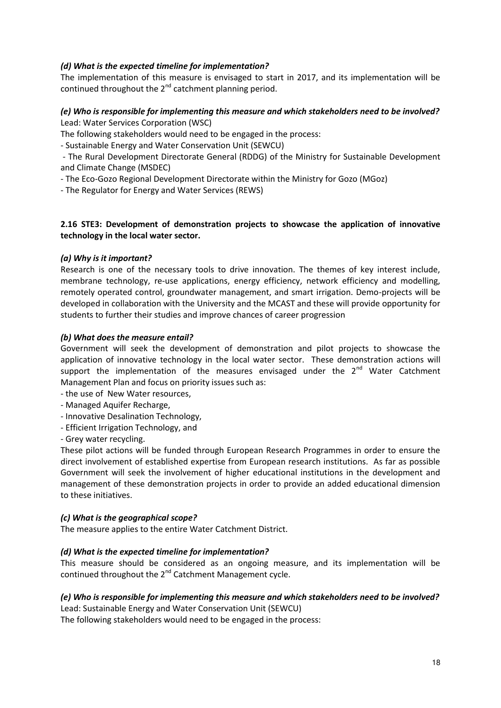# *(d) What is the expected timeline for implementation?*

The implementation of this measure is envisaged to start in 2017, and its implementation will be continued throughout the  $2^{nd}$  catchment planning period.

# *(e) Who is responsible for implementing this measure and which stakeholders need to be involved?*  Lead: Water Services Corporation (WSC)

The following stakeholders would need to be engaged in the process:

- Sustainable Energy and Water Conservation Unit (SEWCU)

 - The Rural Development Directorate General (RDDG) of the Ministry for Sustainable Development and Climate Change (MSDEC)

- The Eco-Gozo Regional Development Directorate within the Ministry for Gozo (MGoz)

- The Regulator for Energy and Water Services (REWS)

# **2.16 STE3: Development of demonstration projects to showcase the application of innovative technology in the local water sector.**

# *(a) Why is it important?*

Research is one of the necessary tools to drive innovation. The themes of key interest include, membrane technology, re-use applications, energy efficiency, network efficiency and modelling, remotely operated control, groundwater management, and smart irrigation. Demo-projects will be developed in collaboration with the University and the MCAST and these will provide opportunity for students to further their studies and improve chances of career progression

# *(b) What does the measure entail?*

Government will seek the development of demonstration and pilot projects to showcase the application of innovative technology in the local water sector. These demonstration actions will support the implementation of the measures envisaged under the  $2<sup>nd</sup>$  Water Catchment Management Plan and focus on priority issues such as:

- the use of New Water resources,
- Managed Aquifer Recharge,
- Innovative Desalination Technology,
- Efficient Irrigation Technology, and
- Grey water recycling.

These pilot actions will be funded through European Research Programmes in order to ensure the direct involvement of established expertise from European research institutions. As far as possible Government will seek the involvement of higher educational institutions in the development and management of these demonstration projects in order to provide an added educational dimension to these initiatives.

#### *(c) What is the geographical scope?*

The measure applies to the entire Water Catchment District.

#### *(d) What is the expected timeline for implementation?*

This measure should be considered as an ongoing measure, and its implementation will be continued throughout the  $2^{nd}$  Catchment Management cycle.

# *(e) Who is responsible for implementing this measure and which stakeholders need to be involved?*

Lead: Sustainable Energy and Water Conservation Unit (SEWCU)

The following stakeholders would need to be engaged in the process: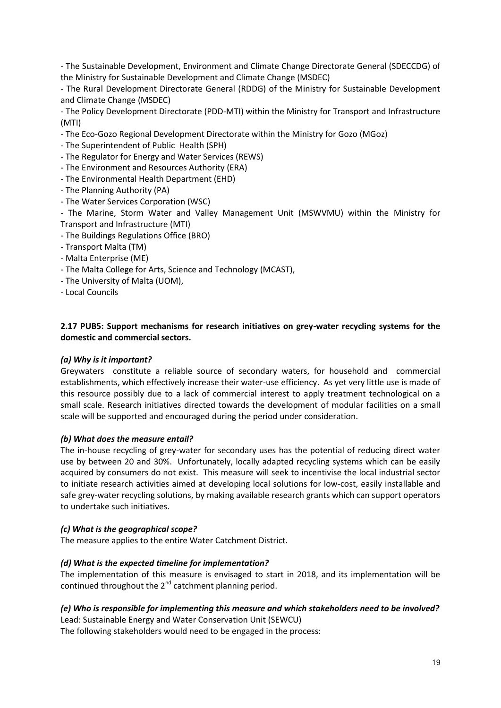- The Sustainable Development, Environment and Climate Change Directorate General (SDECCDG) of the Ministry for Sustainable Development and Climate Change (MSDEC)

- The Rural Development Directorate General (RDDG) of the Ministry for Sustainable Development and Climate Change (MSDEC)

- The Policy Development Directorate (PDD-MTI) within the Ministry for Transport and Infrastructure (MTI)

- The Eco-Gozo Regional Development Directorate within the Ministry for Gozo (MGoz)
- The Superintendent of Public Health (SPH)
- The Regulator for Energy and Water Services (REWS)
- The Environment and Resources Authority (ERA)
- The Environmental Health Department (EHD)
- The Planning Authority (PA)
- The Water Services Corporation (WSC)

- The Marine, Storm Water and Valley Management Unit (MSWVMU) within the Ministry for Transport and Infrastructure (MTI)

- The Buildings Regulations Office (BRO)
- Transport Malta (TM)
- Malta Enterprise (ME)
- The Malta College for Arts, Science and Technology (MCAST),
- The University of Malta (UOM),
- Local Councils

# **2.17 PUB5: Support mechanisms for research initiatives on grey-water recycling systems for the domestic and commercial sectors.**

#### *(a) Why is it important?*

Greywaters constitute a reliable source of secondary waters, for household and commercial establishments, which effectively increase their water-use efficiency. As yet very little use is made of this resource possibly due to a lack of commercial interest to apply treatment technological on a small scale. Research initiatives directed towards the development of modular facilities on a small scale will be supported and encouraged during the period under consideration.

#### *(b) What does the measure entail?*

The in-house recycling of grey-water for secondary uses has the potential of reducing direct water use by between 20 and 30%. Unfortunately, locally adapted recycling systems which can be easily acquired by consumers do not exist. This measure will seek to incentivise the local industrial sector to initiate research activities aimed at developing local solutions for low-cost, easily installable and safe grey-water recycling solutions, by making available research grants which can support operators to undertake such initiatives.

#### *(c) What is the geographical scope?*

The measure applies to the entire Water Catchment District.

#### *(d) What is the expected timeline for implementation?*

The implementation of this measure is envisaged to start in 2018, and its implementation will be continued throughout the  $2^{nd}$  catchment planning period.

# *(e) Who is responsible for implementing this measure and which stakeholders need to be involved?*

Lead: Sustainable Energy and Water Conservation Unit (SEWCU) The following stakeholders would need to be engaged in the process: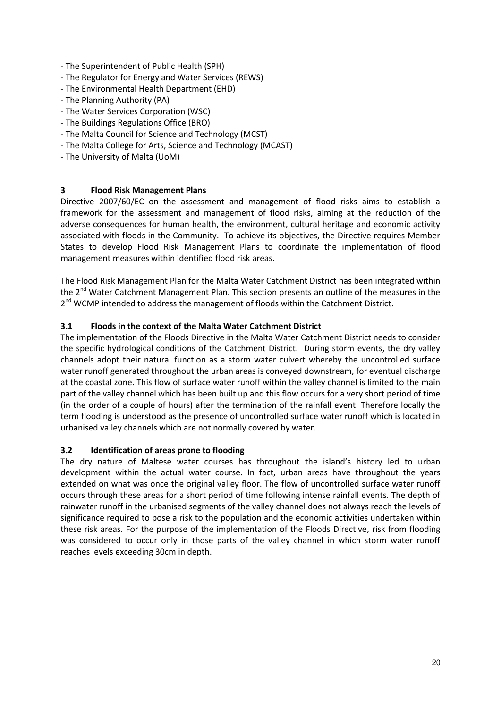- The Superintendent of Public Health (SPH)
- The Regulator for Energy and Water Services (REWS)
- The Environmental Health Department (EHD)
- The Planning Authority (PA)
- The Water Services Corporation (WSC)
- The Buildings Regulations Office (BRO)
- The Malta Council for Science and Technology (MCST)
- The Malta College for Arts, Science and Technology (MCAST)
- The University of Malta (UoM)

# **3 Flood Risk Management Plans**

Directive 2007/60/EC on the assessment and management of flood risks aims to establish a framework for the assessment and management of flood risks, aiming at the reduction of the adverse consequences for human health, the environment, cultural heritage and economic activity associated with floods in the Community. To achieve its objectives, the Directive requires Member States to develop Flood Risk Management Plans to coordinate the implementation of flood management measures within identified flood risk areas.

The Flood Risk Management Plan for the Malta Water Catchment District has been integrated within the 2<sup>nd</sup> Water Catchment Management Plan. This section presents an outline of the measures in the 2<sup>nd</sup> WCMP intended to address the management of floods within the Catchment District.

#### **3.1 Floods in the context of the Malta Water Catchment District**

The implementation of the Floods Directive in the Malta Water Catchment District needs to consider the specific hydrological conditions of the Catchment District. During storm events, the dry valley channels adopt their natural function as a storm water culvert whereby the uncontrolled surface water runoff generated throughout the urban areas is conveyed downstream, for eventual discharge at the coastal zone. This flow of surface water runoff within the valley channel is limited to the main part of the valley channel which has been built up and this flow occurs for a very short period of time (in the order of a couple of hours) after the termination of the rainfall event. Therefore locally the term flooding is understood as the presence of uncontrolled surface water runoff which is located in urbanised valley channels which are not normally covered by water.

#### **3.2 Identification of areas prone to flooding**

The dry nature of Maltese water courses has throughout the island's history led to urban development within the actual water course. In fact, urban areas have throughout the years extended on what was once the original valley floor. The flow of uncontrolled surface water runoff occurs through these areas for a short period of time following intense rainfall events. The depth of rainwater runoff in the urbanised segments of the valley channel does not always reach the levels of significance required to pose a risk to the population and the economic activities undertaken within these risk areas. For the purpose of the implementation of the Floods Directive, risk from flooding was considered to occur only in those parts of the valley channel in which storm water runoff reaches levels exceeding 30cm in depth.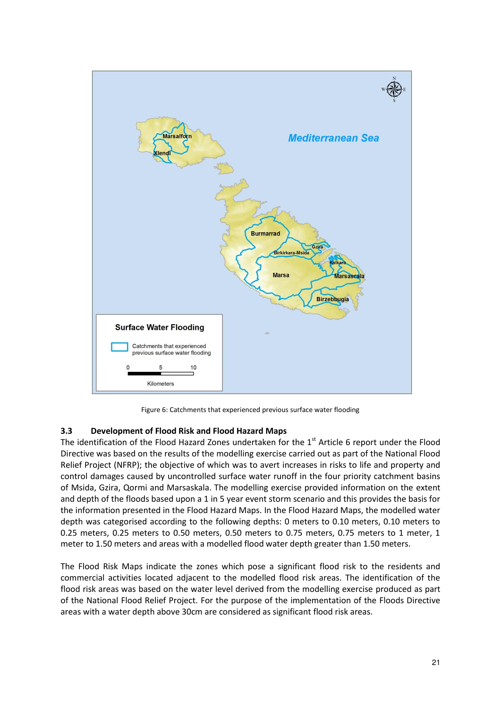

Figure 6: Catchments that experienced previous surface water flooding

#### **3.3 Development of Flood Risk and Flood Hazard Maps**

The identification of the Flood Hazard Zones undertaken for the 1<sup>st</sup> Article 6 report under the Flood Directive was based on the results of the modelling exercise carried out as part of the National Flood Relief Project (NFRP); the objective of which was to avert increases in risks to life and property and control damages caused by uncontrolled surface water runoff in the four priority catchment basins of Msida, Gzira, Qormi and Marsaskala. The modelling exercise provided information on the extent and depth of the floods based upon a 1 in 5 year event storm scenario and this provides the basis for the information presented in the Flood Hazard Maps. In the Flood Hazard Maps, the modelled water depth was categorised according to the following depths: 0 meters to 0.10 meters, 0.10 meters to 0.25 meters, 0.25 meters to 0.50 meters, 0.50 meters to 0.75 meters, 0.75 meters to 1 meter, 1 meter to 1.50 meters and areas with a modelled flood water depth greater than 1.50 meters.

The Flood Risk Maps indicate the zones which pose a significant flood risk to the residents and commercial activities located adjacent to the modelled flood risk areas. The identification of the flood risk areas was based on the water level derived from the modelling exercise produced as part of the National Flood Relief Project. For the purpose of the implementation of the Floods Directive areas with a water depth above 30cm are considered as significant flood risk areas.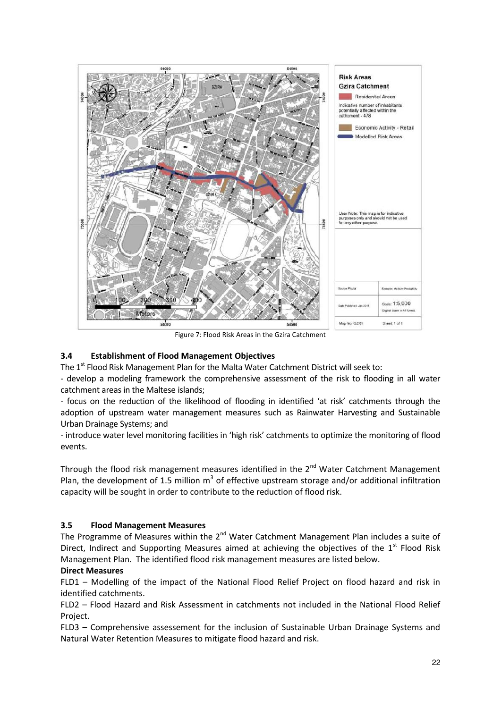

Figure 7: Flood Risk Areas in the Gzira Catchment

# **3.4 Establishment of Flood Management Objectives**

The  $1<sup>st</sup>$  Flood Risk Management Plan for the Malta Water Catchment District will seek to:

- develop a modeling framework the comprehensive assessment of the risk to flooding in all water catchment areas in the Maltese islands;

- focus on the reduction of the likelihood of flooding in identified 'at risk' catchments through the adoption of upstream water management measures such as Rainwater Harvesting and Sustainable Urban Drainage Systems; and

- introduce water level monitoring facilities in 'high risk' catchments to optimize the monitoring of flood events.

Through the flood risk management measures identified in the  $2^{nd}$  Water Catchment Management Plan, the development of 1.5 million  $m^3$  of effective upstream storage and/or additional infiltration capacity will be sought in order to contribute to the reduction of flood risk.

# **3.5 Flood Management Measures**

The Programme of Measures within the  $2^{nd}$  Water Catchment Management Plan includes a suite of Direct, Indirect and Supporting Measures aimed at achieving the objectives of the  $1<sup>st</sup>$  Flood Risk Management Plan. The identified flood risk management measures are listed below.

# **Direct Measures**

FLD1 – Modelling of the impact of the National Flood Relief Project on flood hazard and risk in identified catchments.

FLD2 – Flood Hazard and Risk Assessment in catchments not included in the National Flood Relief Project.

FLD3 – Comprehensive assessement for the inclusion of Sustainable Urban Drainage Systems and Natural Water Retention Measures to mitigate flood hazard and risk.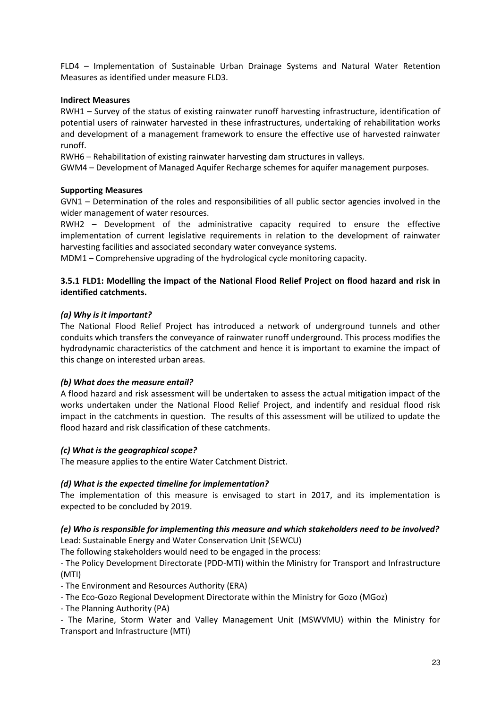FLD4 – Implementation of Sustainable Urban Drainage Systems and Natural Water Retention Measures as identified under measure FLD3.

#### **Indirect Measures**

RWH1 – Survey of the status of existing rainwater runoff harvesting infrastructure, identification of potential users of rainwater harvested in these infrastructures, undertaking of rehabilitation works and development of a management framework to ensure the effective use of harvested rainwater runoff.

RWH6 – Rehabilitation of existing rainwater harvesting dam structures in valleys.

GWM4 – Development of Managed Aquifer Recharge schemes for aquifer management purposes.

# **Supporting Measures**

GVN1 – Determination of the roles and responsibilities of all public sector agencies involved in the wider management of water resources.

RWH2 – Development of the administrative capacity required to ensure the effective implementation of current legislative requirements in relation to the development of rainwater harvesting facilities and associated secondary water conveyance systems.

MDM1 – Comprehensive upgrading of the hydrological cycle monitoring capacity.

# **3.5.1 FLD1: Modelling the impact of the National Flood Relief Project on flood hazard and risk in identified catchments.**

# *(a) Why is it important?*

The National Flood Relief Project has introduced a network of underground tunnels and other conduits which transfers the conveyance of rainwater runoff underground. This process modifies the hydrodynamic characteristics of the catchment and hence it is important to examine the impact of this change on interested urban areas.

#### *(b) What does the measure entail?*

A flood hazard and risk assessment will be undertaken to assess the actual mitigation impact of the works undertaken under the National Flood Relief Project, and indentify and residual flood risk impact in the catchments in question. The results of this assessment will be utilized to update the flood hazard and risk classification of these catchments.

# *(c) What is the geographical scope?*

The measure applies to the entire Water Catchment District.

#### *(d) What is the expected timeline for implementation?*

The implementation of this measure is envisaged to start in 2017, and its implementation is expected to be concluded by 2019.

# *(e) Who is responsible for implementing this measure and which stakeholders need to be involved?*  Lead: Sustainable Energy and Water Conservation Unit (SEWCU)

The following stakeholders would need to be engaged in the process:

- The Policy Development Directorate (PDD-MTI) within the Ministry for Transport and Infrastructure (MTI)

- The Environment and Resources Authority (ERA)

- The Eco-Gozo Regional Development Directorate within the Ministry for Gozo (MGoz)

- The Planning Authority (PA)

- The Marine, Storm Water and Valley Management Unit (MSWVMU) within the Ministry for Transport and Infrastructure (MTI)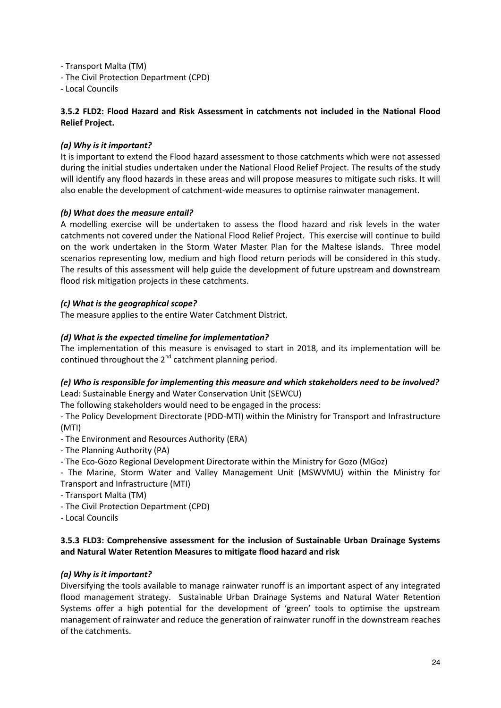- Transport Malta (TM)

- The Civil Protection Department (CPD)

- Local Councils

# **3.5.2 FLD2: Flood Hazard and Risk Assessment in catchments not included in the National Flood Relief Project.**

# *(a) Why is it important?*

It is important to extend the Flood hazard assessment to those catchments which were not assessed during the initial studies undertaken under the National Flood Relief Project. The results of the study will identify any flood hazards in these areas and will propose measures to mitigate such risks. It will also enable the development of catchment-wide measures to optimise rainwater management.

# *(b) What does the measure entail?*

A modelling exercise will be undertaken to assess the flood hazard and risk levels in the water catchments not covered under the National Flood Relief Project. This exercise will continue to build on the work undertaken in the Storm Water Master Plan for the Maltese islands. Three model scenarios representing low, medium and high flood return periods will be considered in this study. The results of this assessment will help guide the development of future upstream and downstream flood risk mitigation projects in these catchments.

# *(c) What is the geographical scope?*

The measure applies to the entire Water Catchment District.

# *(d) What is the expected timeline for implementation?*

The implementation of this measure is envisaged to start in 2018, and its implementation will be continued throughout the  $2^{nd}$  catchment planning period.

#### *(e) Who is responsible for implementing this measure and which stakeholders need to be involved?*  Lead: Sustainable Energy and Water Conservation Unit (SEWCU)

The following stakeholders would need to be engaged in the process:

- The Policy Development Directorate (PDD-MTI) within the Ministry for Transport and Infrastructure (MTI)

- The Environment and Resources Authority (ERA)
- The Planning Authority (PA)
- The Eco-Gozo Regional Development Directorate within the Ministry for Gozo (MGoz)
- The Marine, Storm Water and Valley Management Unit (MSWVMU) within the Ministry for
- Transport and Infrastructure (MTI)
- Transport Malta (TM)
- The Civil Protection Department (CPD)
- Local Councils

# **3.5.3 FLD3: Comprehensive assessment for the inclusion of Sustainable Urban Drainage Systems and Natural Water Retention Measures to mitigate flood hazard and risk**

# *(a) Why is it important?*

Diversifying the tools available to manage rainwater runoff is an important aspect of any integrated flood management strategy. Sustainable Urban Drainage Systems and Natural Water Retention Systems offer a high potential for the development of 'green' tools to optimise the upstream management of rainwater and reduce the generation of rainwater runoff in the downstream reaches of the catchments.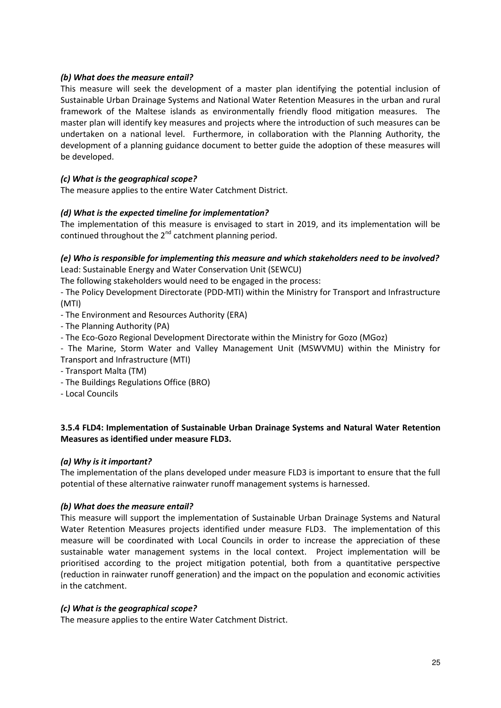# *(b) What does the measure entail?*

This measure will seek the development of a master plan identifying the potential inclusion of Sustainable Urban Drainage Systems and National Water Retention Measures in the urban and rural framework of the Maltese islands as environmentally friendly flood mitigation measures. The master plan will identify key measures and projects where the introduction of such measures can be undertaken on a national level. Furthermore, in collaboration with the Planning Authority, the development of a planning guidance document to better guide the adoption of these measures will be developed.

# *(c) What is the geographical scope?*

The measure applies to the entire Water Catchment District.

# *(d) What is the expected timeline for implementation?*

The implementation of this measure is envisaged to start in 2019, and its implementation will be continued throughout the  $2^{nd}$  catchment planning period.

# *(e) Who is responsible for implementing this measure and which stakeholders need to be involved?*  Lead: Sustainable Energy and Water Conservation Unit (SEWCU)

The following stakeholders would need to be engaged in the process:

- The Policy Development Directorate (PDD-MTI) within the Ministry for Transport and Infrastructure (MTI)

- The Environment and Resources Authority (ERA)
- The Planning Authority (PA)
- The Eco-Gozo Regional Development Directorate within the Ministry for Gozo (MGoz)
- The Marine, Storm Water and Valley Management Unit (MSWVMU) within the Ministry for Transport and Infrastructure (MTI)
- Transport Malta (TM)
- The Buildings Regulations Office (BRO)
- Local Councils

# **3.5.4 FLD4: Implementation of Sustainable Urban Drainage Systems and Natural Water Retention Measures as identified under measure FLD3.**

#### *(a) Why is it important?*

The implementation of the plans developed under measure FLD3 is important to ensure that the full potential of these alternative rainwater runoff management systems is harnessed.

#### *(b) What does the measure entail?*

This measure will support the implementation of Sustainable Urban Drainage Systems and Natural Water Retention Measures projects identified under measure FLD3. The implementation of this measure will be coordinated with Local Councils in order to increase the appreciation of these sustainable water management systems in the local context. Project implementation will be prioritised according to the project mitigation potential, both from a quantitative perspective (reduction in rainwater runoff generation) and the impact on the population and economic activities in the catchment.

#### *(c) What is the geographical scope?*

The measure applies to the entire Water Catchment District.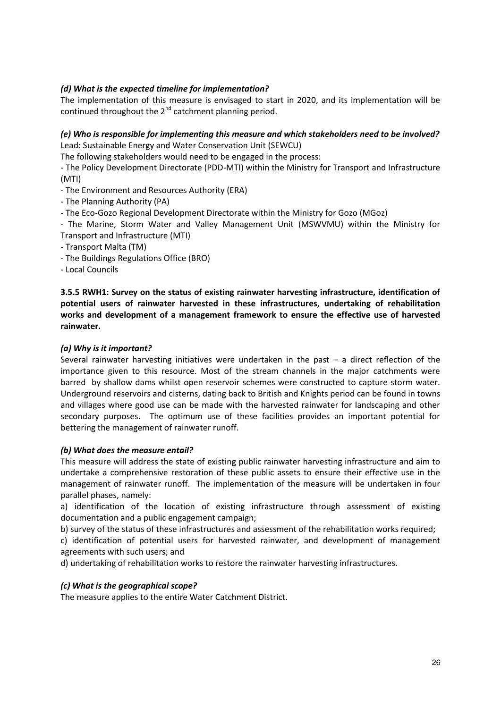# *(d) What is the expected timeline for implementation?*

The implementation of this measure is envisaged to start in 2020, and its implementation will be continued throughout the  $2^{nd}$  catchment planning period.

# *(e) Who is responsible for implementing this measure and which stakeholders need to be involved?*  Lead: Sustainable Energy and Water Conservation Unit (SEWCU)

The following stakeholders would need to be engaged in the process:

- The Policy Development Directorate (PDD-MTI) within the Ministry for Transport and Infrastructure (MTI)

- The Environment and Resources Authority (ERA)
- The Planning Authority (PA)
- The Eco-Gozo Regional Development Directorate within the Ministry for Gozo (MGoz)
- The Marine, Storm Water and Valley Management Unit (MSWVMU) within the Ministry for Transport and Infrastructure (MTI)
- Transport Malta (TM)
- The Buildings Regulations Office (BRO)
- Local Councils

**3.5.5 RWH1: Survey on the status of existing rainwater harvesting infrastructure, identification of potential users of rainwater harvested in these infrastructures, undertaking of rehabilitation works and development of a management framework to ensure the effective use of harvested rainwater.** 

#### *(a) Why is it important?*

Several rainwater harvesting initiatives were undertaken in the past – a direct reflection of the importance given to this resource. Most of the stream channels in the major catchments were barred by shallow dams whilst open reservoir schemes were constructed to capture storm water. Underground reservoirs and cisterns, dating back to British and Knights period can be found in towns and villages where good use can be made with the harvested rainwater for landscaping and other secondary purposes. The optimum use of these facilities provides an important potential for bettering the management of rainwater runoff.

#### *(b) What does the measure entail?*

This measure will address the state of existing public rainwater harvesting infrastructure and aim to undertake a comprehensive restoration of these public assets to ensure their effective use in the management of rainwater runoff. The implementation of the measure will be undertaken in four parallel phases, namely:

a) identification of the location of existing infrastructure through assessment of existing documentation and a public engagement campaign;

b) survey of the status of these infrastructures and assessment of the rehabilitation works required;

c) identification of potential users for harvested rainwater, and development of management agreements with such users; and

d) undertaking of rehabilitation works to restore the rainwater harvesting infrastructures.

#### *(c) What is the geographical scope?*

The measure applies to the entire Water Catchment District.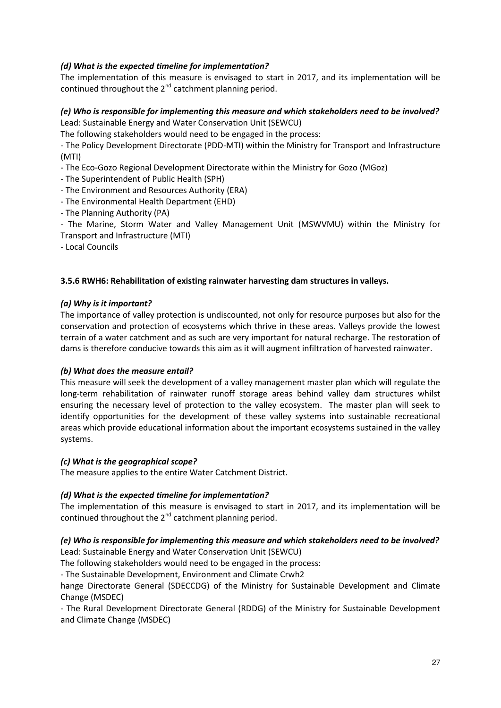# *(d) What is the expected timeline for implementation?*

The implementation of this measure is envisaged to start in 2017, and its implementation will be continued throughout the  $2^{nd}$  catchment planning period.

# *(e) Who is responsible for implementing this measure and which stakeholders need to be involved?*  Lead: Sustainable Energy and Water Conservation Unit (SEWCU)

The following stakeholders would need to be engaged in the process:

- The Policy Development Directorate (PDD-MTI) within the Ministry for Transport and Infrastructure (MTI)

- The Eco-Gozo Regional Development Directorate within the Ministry for Gozo (MGoz)

- The Superintendent of Public Health (SPH)

- The Environment and Resources Authority (ERA)

- The Environmental Health Department (EHD)

- The Planning Authority (PA)

- The Marine, Storm Water and Valley Management Unit (MSWVMU) within the Ministry for Transport and Infrastructure (MTI)

- Local Councils

# **3.5.6 RWH6: Rehabilitation of existing rainwater harvesting dam structures in valleys.**

# *(a) Why is it important?*

The importance of valley protection is undiscounted, not only for resource purposes but also for the conservation and protection of ecosystems which thrive in these areas. Valleys provide the lowest terrain of a water catchment and as such are very important for natural recharge. The restoration of dams is therefore conducive towards this aim as it will augment infiltration of harvested rainwater.

#### *(b) What does the measure entail?*

This measure will seek the development of a valley management master plan which will regulate the long-term rehabilitation of rainwater runoff storage areas behind valley dam structures whilst ensuring the necessary level of protection to the valley ecosystem. The master plan will seek to identify opportunities for the development of these valley systems into sustainable recreational areas which provide educational information about the important ecosystems sustained in the valley systems.

#### *(c) What is the geographical scope?*

The measure applies to the entire Water Catchment District.

# *(d) What is the expected timeline for implementation?*

The implementation of this measure is envisaged to start in 2017, and its implementation will be continued throughout the  $2^{nd}$  catchment planning period.

#### *(e) Who is responsible for implementing this measure and which stakeholders need to be involved?*  Lead: Sustainable Energy and Water Conservation Unit (SEWCU)

The following stakeholders would need to be engaged in the process:

- The Sustainable Development, Environment and Climate Crwh2

hange Directorate General (SDECCDG) of the Ministry for Sustainable Development and Climate Change (MSDEC)

- The Rural Development Directorate General (RDDG) of the Ministry for Sustainable Development and Climate Change (MSDEC)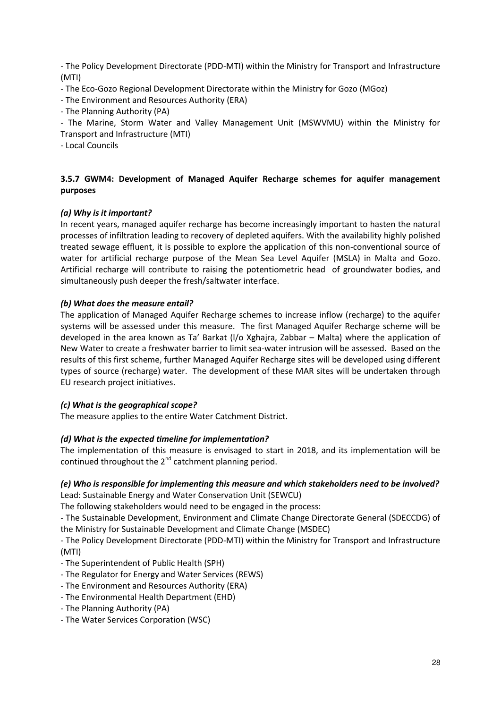- The Policy Development Directorate (PDD-MTI) within the Ministry for Transport and Infrastructure (MTI)

- The Eco-Gozo Regional Development Directorate within the Ministry for Gozo (MGoz)

- The Environment and Resources Authority (ERA)

- The Planning Authority (PA)

- The Marine, Storm Water and Valley Management Unit (MSWVMU) within the Ministry for Transport and Infrastructure (MTI)

- Local Councils

# **3.5.7 GWM4: Development of Managed Aquifer Recharge schemes for aquifer management purposes**

# *(a) Why is it important?*

In recent years, managed aquifer recharge has become increasingly important to hasten the natural processes of infiltration leading to recovery of depleted aquifers. With the availability highly polished treated sewage effluent, it is possible to explore the application of this non-conventional source of water for artificial recharge purpose of the Mean Sea Level Aquifer (MSLA) in Malta and Gozo. Artificial recharge will contribute to raising the potentiometric head of groundwater bodies, and simultaneously push deeper the fresh/saltwater interface.

# *(b) What does the measure entail?*

The application of Managed Aquifer Recharge schemes to increase inflow (recharge) to the aquifer systems will be assessed under this measure. The first Managed Aquifer Recharge scheme will be developed in the area known as Ta' Barkat (l/o Xghajra, Zabbar – Malta) where the application of New Water to create a freshwater barrier to limit sea-water intrusion will be assessed. Based on the results of this first scheme, further Managed Aquifer Recharge sites will be developed using different types of source (recharge) water. The development of these MAR sites will be undertaken through EU research project initiatives.

#### *(c) What is the geographical scope?*

The measure applies to the entire Water Catchment District.

#### *(d) What is the expected timeline for implementation?*

The implementation of this measure is envisaged to start in 2018, and its implementation will be continued throughout the  $2^{nd}$  catchment planning period.

# *(e) Who is responsible for implementing this measure and which stakeholders need to be involved?*  Lead: Sustainable Energy and Water Conservation Unit (SEWCU)

The following stakeholders would need to be engaged in the process:

- The Sustainable Development, Environment and Climate Change Directorate General (SDECCDG) of the Ministry for Sustainable Development and Climate Change (MSDEC)

- The Policy Development Directorate (PDD-MTI) within the Ministry for Transport and Infrastructure (MTI)

- The Superintendent of Public Health (SPH)
- The Regulator for Energy and Water Services (REWS)
- The Environment and Resources Authority (ERA)
- The Environmental Health Department (EHD)
- The Planning Authority (PA)
- The Water Services Corporation (WSC)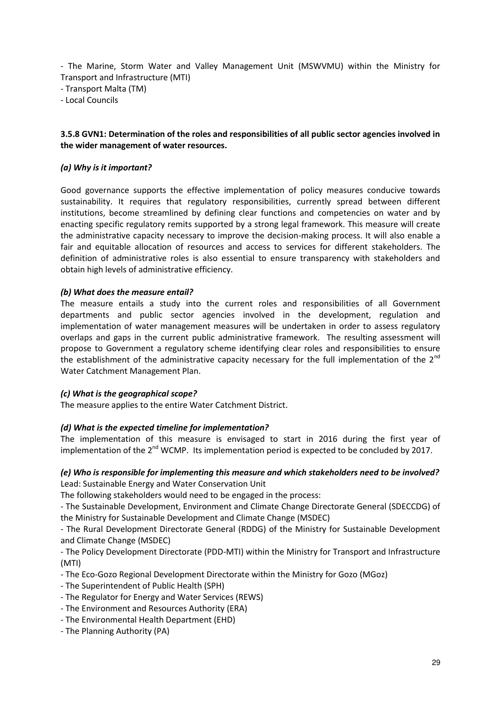- The Marine, Storm Water and Valley Management Unit (MSWVMU) within the Ministry for Transport and Infrastructure (MTI)

- Transport Malta (TM)

- Local Councils

# **3.5.8 GVN1: Determination of the roles and responsibilities of all public sector agencies involved in the wider management of water resources.**

#### *(a) Why is it important?*

Good governance supports the effective implementation of policy measures conducive towards sustainability. It requires that regulatory responsibilities, currently spread between different institutions, become streamlined by defining clear functions and competencies on water and by enacting specific regulatory remits supported by a strong legal framework. This measure will create the administrative capacity necessary to improve the decision-making process. It will also enable a fair and equitable allocation of resources and access to services for different stakeholders. The definition of administrative roles is also essential to ensure transparency with stakeholders and obtain high levels of administrative efficiency.

#### *(b) What does the measure entail?*

The measure entails a study into the current roles and responsibilities of all Government departments and public sector agencies involved in the development, regulation and implementation of water management measures will be undertaken in order to assess regulatory overlaps and gaps in the current public administrative framework. The resulting assessment will propose to Government a regulatory scheme identifying clear roles and responsibilities to ensure the establishment of the administrative capacity necessary for the full implementation of the  $2^{nd}$ Water Catchment Management Plan.

#### *(c) What is the geographical scope?*

The measure applies to the entire Water Catchment District.

#### *(d) What is the expected timeline for implementation?*

The implementation of this measure is envisaged to start in 2016 during the first year of implementation of the  $2^{nd}$  WCMP. Its implementation period is expected to be concluded by 2017.

# *(e) Who is responsible for implementing this measure and which stakeholders need to be involved?*  Lead: Sustainable Energy and Water Conservation Unit

The following stakeholders would need to be engaged in the process:

- The Sustainable Development, Environment and Climate Change Directorate General (SDECCDG) of the Ministry for Sustainable Development and Climate Change (MSDEC)

- The Rural Development Directorate General (RDDG) of the Ministry for Sustainable Development and Climate Change (MSDEC)

- The Policy Development Directorate (PDD-MTI) within the Ministry for Transport and Infrastructure (MTI)

- The Eco-Gozo Regional Development Directorate within the Ministry for Gozo (MGoz)
- The Superintendent of Public Health (SPH)
- The Regulator for Energy and Water Services (REWS)
- The Environment and Resources Authority (ERA)
- The Environmental Health Department (EHD)
- The Planning Authority (PA)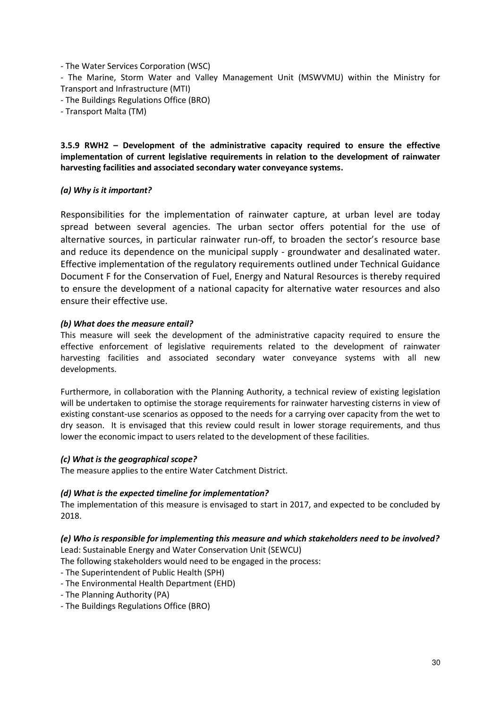- The Water Services Corporation (WSC)

- The Marine, Storm Water and Valley Management Unit (MSWVMU) within the Ministry for Transport and Infrastructure (MTI)

- The Buildings Regulations Office (BRO)
- Transport Malta (TM)

# **3.5.9 RWH2 – Development of the administrative capacity required to ensure the effective implementation of current legislative requirements in relation to the development of rainwater harvesting facilities and associated secondary water conveyance systems.**

# *(a) Why is it important?*

Responsibilities for the implementation of rainwater capture, at urban level are today spread between several agencies. The urban sector offers potential for the use of alternative sources, in particular rainwater run-off, to broaden the sector's resource base and reduce its dependence on the municipal supply - groundwater and desalinated water. Effective implementation of the regulatory requirements outlined under Technical Guidance Document F for the Conservation of Fuel, Energy and Natural Resources is thereby required to ensure the development of a national capacity for alternative water resources and also ensure their effective use.

#### *(b) What does the measure entail?*

This measure will seek the development of the administrative capacity required to ensure the effective enforcement of legislative requirements related to the development of rainwater harvesting facilities and associated secondary water conveyance systems with all new developments.

Furthermore, in collaboration with the Planning Authority, a technical review of existing legislation will be undertaken to optimise the storage requirements for rainwater harvesting cisterns in view of existing constant-use scenarios as opposed to the needs for a carrying over capacity from the wet to dry season. It is envisaged that this review could result in lower storage requirements, and thus lower the economic impact to users related to the development of these facilities.

#### *(c) What is the geographical scope?*

The measure applies to the entire Water Catchment District.

# *(d) What is the expected timeline for implementation?*

The implementation of this measure is envisaged to start in 2017, and expected to be concluded by 2018.

# *(e) Who is responsible for implementing this measure and which stakeholders need to be involved?*

Lead: Sustainable Energy and Water Conservation Unit (SEWCU)

- The following stakeholders would need to be engaged in the process:
- The Superintendent of Public Health (SPH)
- The Environmental Health Department (EHD)
- The Planning Authority (PA)
- The Buildings Regulations Office (BRO)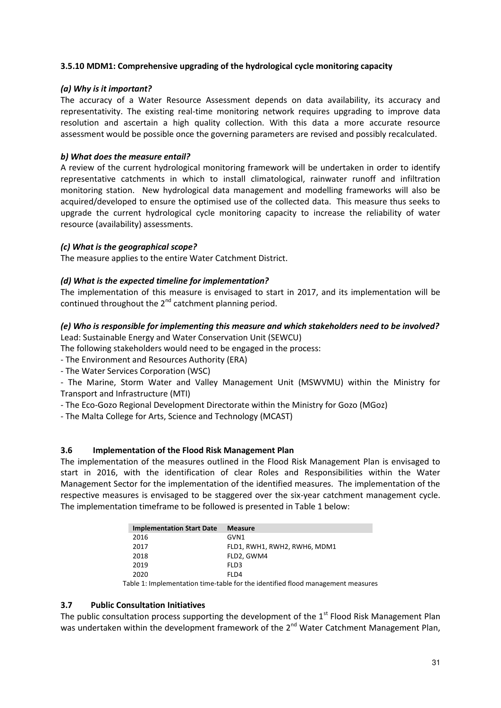# **3.5.10 MDM1: Comprehensive upgrading of the hydrological cycle monitoring capacity**

#### *(a) Why is it important?*

The accuracy of a Water Resource Assessment depends on data availability, its accuracy and representativity. The existing real-time monitoring network requires upgrading to improve data resolution and ascertain a high quality collection. With this data a more accurate resource assessment would be possible once the governing parameters are revised and possibly recalculated.

# *b) What does the measure entail?*

A review of the current hydrological monitoring framework will be undertaken in order to identify representative catchments in which to install climatological, rainwater runoff and infiltration monitoring station. New hydrological data management and modelling frameworks will also be acquired/developed to ensure the optimised use of the collected data. This measure thus seeks to upgrade the current hydrological cycle monitoring capacity to increase the reliability of water resource (availability) assessments.

# *(c) What is the geographical scope?*

The measure applies to the entire Water Catchment District.

# *(d) What is the expected timeline for implementation?*

The implementation of this measure is envisaged to start in 2017, and its implementation will be continued throughout the  $2^{nd}$  catchment planning period.

# *(e) Who is responsible for implementing this measure and which stakeholders need to be involved?*

Lead: Sustainable Energy and Water Conservation Unit (SEWCU)

The following stakeholders would need to be engaged in the process:

- The Environment and Resources Authority (ERA)
- The Water Services Corporation (WSC)

- The Marine, Storm Water and Valley Management Unit (MSWVMU) within the Ministry for Transport and Infrastructure (MTI)

- The Eco-Gozo Regional Development Directorate within the Ministry for Gozo (MGoz)

- The Malta College for Arts, Science and Technology (MCAST)

# **3.6 Implementation of the Flood Risk Management Plan**

The implementation of the measures outlined in the Flood Risk Management Plan is envisaged to start in 2016, with the identification of clear Roles and Responsibilities within the Water Management Sector for the implementation of the identified measures. The implementation of the respective measures is envisaged to be staggered over the six-year catchment management cycle. The implementation timeframe to be followed is presented in Table 1 below:

| <b>Implementation Start Date</b> | <b>Measure</b>               |
|----------------------------------|------------------------------|
| 2016                             | GVN1                         |
| 2017                             | FLD1, RWH1, RWH2, RWH6, MDM1 |
| 2018                             | FLD2, GWM4                   |
| 2019                             | FLD3                         |
| 2020                             | FI D4                        |

Table 1: Implementation time-table for the identified flood management measures

#### **3.7 Public Consultation Initiatives**

The public consultation process supporting the development of the  $1<sup>st</sup>$  Flood Risk Management Plan was undertaken within the development framework of the 2<sup>nd</sup> Water Catchment Management Plan,